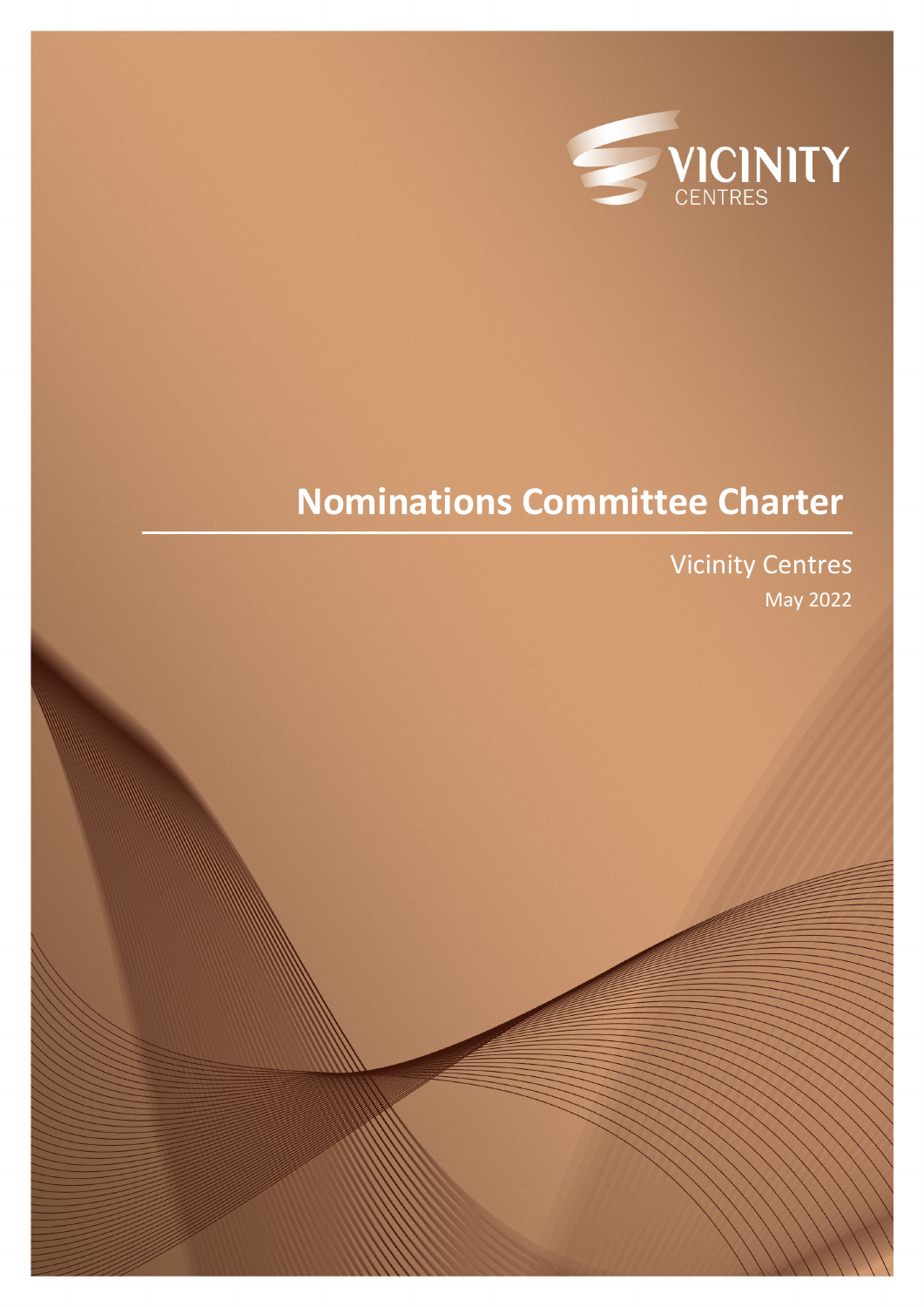

# **Nominations Committee Charter**

Vicinity Centres May 2022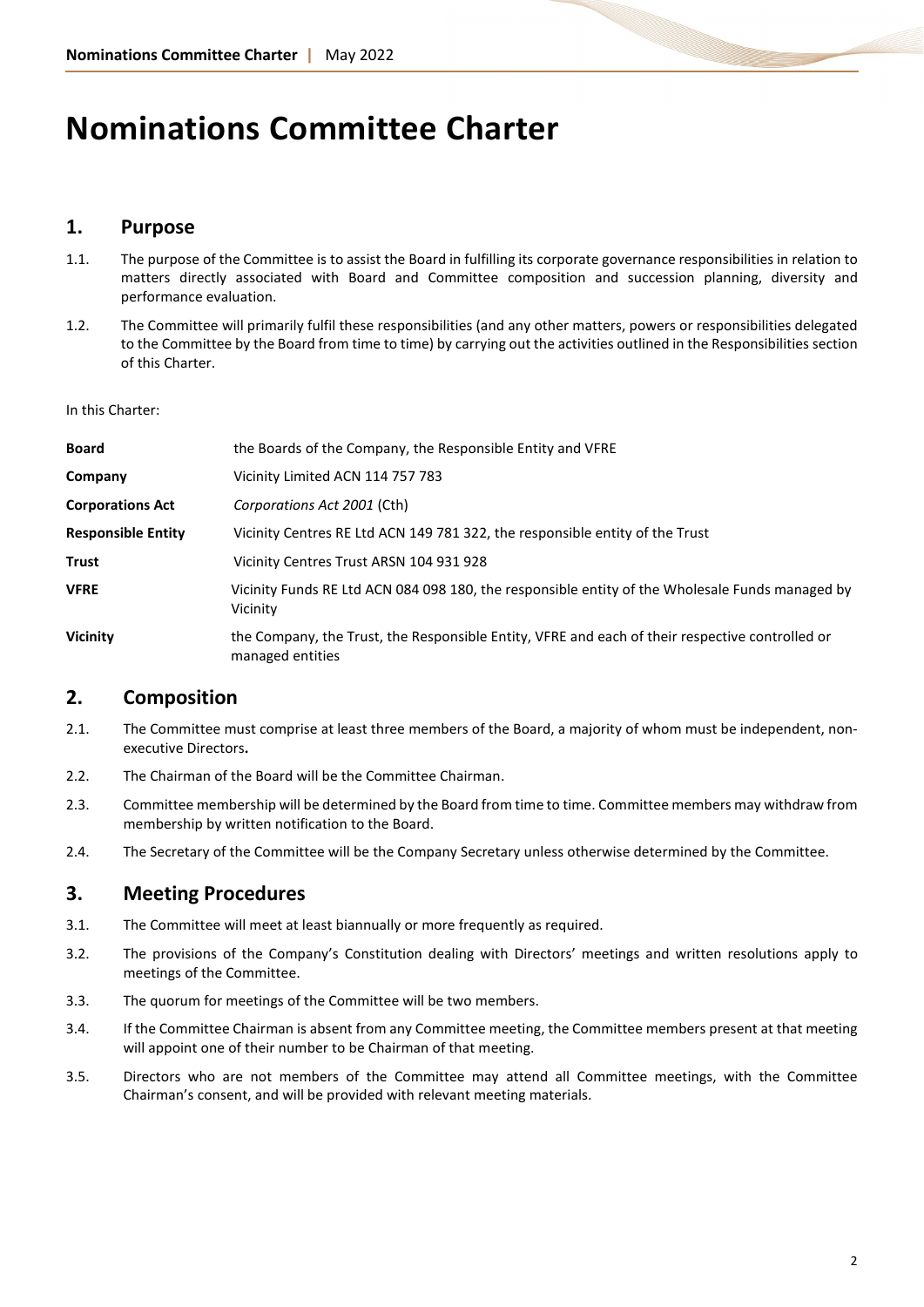## **Nominations Committee Charter**

## **1. Purpose**

- 1.1. The purpose of the Committee is to assist the Board in fulfilling its corporate governance responsibilities in relation to matters directly associated with Board and Committee composition and succession planning, diversity and performance evaluation.
- 1.2. The Committee will primarily fulfil these responsibilities (and any other matters, powers or responsibilities delegated to the Committee by the Board from time to time) by carrying out the activities outlined in the Responsibilities section of this Charter.

In this Charter:

| Board                     | the Boards of the Company, the Responsible Entity and VFRE                                                          |
|---------------------------|---------------------------------------------------------------------------------------------------------------------|
| Company                   | Vicinity Limited ACN 114 757 783                                                                                    |
| <b>Corporations Act</b>   | Corporations Act 2001 (Cth)                                                                                         |
| <b>Responsible Entity</b> | Vicinity Centres RE Ltd ACN 149 781 322, the responsible entity of the Trust                                        |
| Trust                     | Vicinity Centres Trust ARSN 104 931 928                                                                             |
| <b>VFRE</b>               | Vicinity Funds RE Ltd ACN 084 098 180, the responsible entity of the Wholesale Funds managed by<br>Vicinity         |
| Vicinity                  | the Company, the Trust, the Responsible Entity, VFRE and each of their respective controlled or<br>managed entities |

## **2. Composition**

- 2.1. The Committee must comprise at least three members of the Board, a majority of whom must be independent, nonexecutive Directors**.**
- 2.2. The Chairman of the Board will be the Committee Chairman.
- 2.3. Committee membership will be determined by the Board from time to time. Committee members may withdraw from membership by written notification to the Board.
- 2.4. The Secretary of the Committee will be the Company Secretary unless otherwise determined by the Committee.

## **3. Meeting Procedures**

- 3.1. The Committee will meet at least biannually or more frequently as required.
- 3.2. The provisions of the Company's Constitution dealing with Directors' meetings and written resolutions apply to meetings of the Committee.
- 3.3. The quorum for meetings of the Committee will be two members.
- 3.4. If the Committee Chairman is absent from any Committee meeting, the Committee members present at that meeting will appoint one of their number to be Chairman of that meeting.
- 3.5. Directors who are not members of the Committee may attend all Committee meetings, with the Committee Chairman's consent, and will be provided with relevant meeting materials.